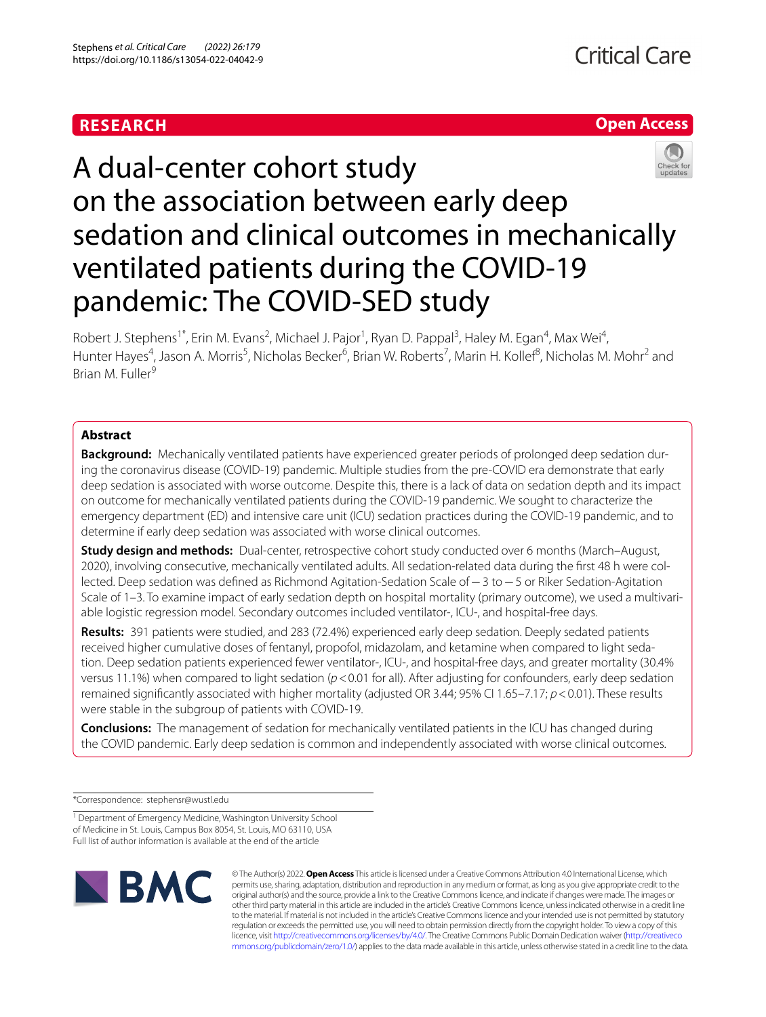# **RESEARCH**

# **Open Access**



# A dual-center cohort study on the association between early deep sedation and clinical outcomes in mechanically ventilated patients during the COVID-19 pandemic: The COVID-SED study

Robert J. Stephens<sup>1\*</sup>, Erin M. Evans<sup>2</sup>, Michael J. Pajor<sup>1</sup>, Ryan D. Pappal<sup>3</sup>, Haley M. Egan<sup>4</sup>, Max Wei<sup>4</sup>, Hunter Hayes<sup>4</sup>, Jason A. Morris<sup>5</sup>, Nicholas Becker<sup>6</sup>, Brian W. Roberts<sup>7</sup>, Marin H. Kollef<sup>8</sup>, Nicholas M. Mohr<sup>2</sup> and Brian M. Fuller<sup>9</sup>

# **Abstract**

**Background:** Mechanically ventilated patients have experienced greater periods of prolonged deep sedation during the coronavirus disease (COVID-19) pandemic. Multiple studies from the pre-COVID era demonstrate that early deep sedation is associated with worse outcome. Despite this, there is a lack of data on sedation depth and its impact on outcome for mechanically ventilated patients during the COVID-19 pandemic. We sought to characterize the emergency department (ED) and intensive care unit (ICU) sedation practices during the COVID-19 pandemic, and to determine if early deep sedation was associated with worse clinical outcomes.

**Study design and methods:** Dual-center, retrospective cohort study conducted over 6 months (March–August, 2020), involving consecutive, mechanically ventilated adults. All sedation-related data during the frst 48 h were collected. Deep sedation was defned as Richmond Agitation-Sedation Scale of−3 to−5 or Riker Sedation-Agitation Scale of 1–3. To examine impact of early sedation depth on hospital mortality (primary outcome), we used a multivariable logistic regression model. Secondary outcomes included ventilator-, ICU-, and hospital-free days.

**Results:** 391 patients were studied, and 283 (72.4%) experienced early deep sedation. Deeply sedated patients received higher cumulative doses of fentanyl, propofol, midazolam, and ketamine when compared to light sedation. Deep sedation patients experienced fewer ventilator-, ICU-, and hospital-free days, and greater mortality (30.4% versus 11.1%) when compared to light sedation (*p*<0.01 for all). After adjusting for confounders, early deep sedation remained signifcantly associated with higher mortality (adjusted OR 3.44; 95% CI 1.65–7.17; *p*<0.01). These results were stable in the subgroup of patients with COVID-19.

**Conclusions:** The management of sedation for mechanically ventilated patients in the ICU has changed during the COVID pandemic. Early deep sedation is common and independently associated with worse clinical outcomes.

\*Correspondence: stephensr@wustl.edu

<sup>1</sup> Department of Emergency Medicine, Washington University School of Medicine in St. Louis, Campus Box 8054, St. Louis, MO 63110, USA Full list of author information is available at the end of the article



© The Author(s) 2022. **Open Access** This article is licensed under a Creative Commons Attribution 4.0 International License, which permits use, sharing, adaptation, distribution and reproduction in any medium or format, as long as you give appropriate credit to the original author(s) and the source, provide a link to the Creative Commons licence, and indicate if changes were made. The images or other third party material in this article are included in the article's Creative Commons licence, unless indicated otherwise in a credit line to the material. If material is not included in the article's Creative Commons licence and your intended use is not permitted by statutory regulation or exceeds the permitted use, you will need to obtain permission directly from the copyright holder. To view a copy of this licence, visit [http://creativecommons.org/licenses/by/4.0/.](http://creativecommons.org/licenses/by/4.0/) The Creative Commons Public Domain Dedication waiver ([http://creativeco](http://creativecommons.org/publicdomain/zero/1.0/) [mmons.org/publicdomain/zero/1.0/](http://creativecommons.org/publicdomain/zero/1.0/)) applies to the data made available in this article, unless otherwise stated in a credit line to the data.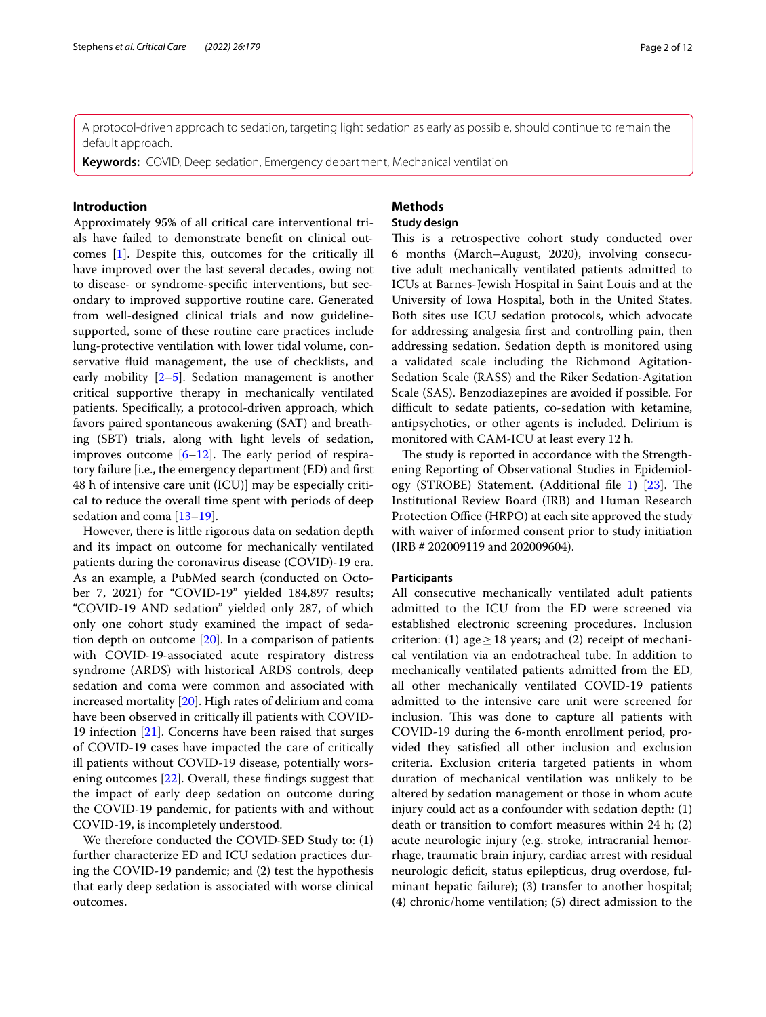A protocol-driven approach to sedation, targeting light sedation as early as possible, should continue to remain the default approach.

**Keywords:** COVID, Deep sedation, Emergency department, Mechanical ventilation

## **Introduction**

Approximately 95% of all critical care interventional trials have failed to demonstrate beneft on clinical outcomes [[1\]](#page-10-0). Despite this, outcomes for the critically ill have improved over the last several decades, owing not to disease- or syndrome-specifc interventions, but secondary to improved supportive routine care. Generated from well-designed clinical trials and now guidelinesupported, some of these routine care practices include lung-protective ventilation with lower tidal volume, conservative fuid management, the use of checklists, and early mobility [\[2](#page-10-1)[–5\]](#page-10-2). Sedation management is another critical supportive therapy in mechanically ventilated patients. Specifcally, a protocol-driven approach, which favors paired spontaneous awakening (SAT) and breathing (SBT) trials, along with light levels of sedation, improves outcome  $[6–12]$  $[6–12]$  $[6–12]$ . The early period of respiratory failure [i.e., the emergency department (ED) and frst 48 h of intensive care unit (ICU)] may be especially critical to reduce the overall time spent with periods of deep sedation and coma [[13–](#page-10-5)[19](#page-11-0)].

However, there is little rigorous data on sedation depth and its impact on outcome for mechanically ventilated patients during the coronavirus disease (COVID)-19 era. As an example, a PubMed search (conducted on October 7, 2021) for "COVID-19" yielded 184,897 results; "COVID-19 AND sedation" yielded only 287, of which only one cohort study examined the impact of sedation depth on outcome [\[20](#page-11-1)]. In a comparison of patients with COVID-19-associated acute respiratory distress syndrome (ARDS) with historical ARDS controls, deep sedation and coma were common and associated with increased mortality [\[20](#page-11-1)]. High rates of delirium and coma have been observed in critically ill patients with COVID-19 infection [\[21](#page-11-2)]. Concerns have been raised that surges of COVID-19 cases have impacted the care of critically ill patients without COVID-19 disease, potentially worsening outcomes [[22\]](#page-11-3). Overall, these fndings suggest that the impact of early deep sedation on outcome during the COVID-19 pandemic, for patients with and without COVID-19, is incompletely understood.

We therefore conducted the COVID-SED Study to: (1) further characterize ED and ICU sedation practices during the COVID-19 pandemic; and (2) test the hypothesis that early deep sedation is associated with worse clinical outcomes.

# **Methods**

## **Study design**

This is a retrospective cohort study conducted over 6 months (March–August, 2020), involving consecutive adult mechanically ventilated patients admitted to ICUs at Barnes-Jewish Hospital in Saint Louis and at the University of Iowa Hospital, both in the United States. Both sites use ICU sedation protocols, which advocate for addressing analgesia frst and controlling pain, then addressing sedation. Sedation depth is monitored using a validated scale including the Richmond Agitation-Sedation Scale (RASS) and the Riker Sedation-Agitation Scale (SAS). Benzodiazepines are avoided if possible. For difficult to sedate patients, co-sedation with ketamine, antipsychotics, or other agents is included. Delirium is monitored with CAM-ICU at least every 12 h.

The study is reported in accordance with the Strengthening Reporting of Observational Studies in Epidemiol-ogy (STROBE) Statement. (Additional file [1\)](#page-9-0) [\[23](#page-11-4)]. The Institutional Review Board (IRB) and Human Research Protection Office (HRPO) at each site approved the study with waiver of informed consent prior to study initiation (IRB # 202009119 and 202009604).

### **Participants**

All consecutive mechanically ventilated adult patients admitted to the ICU from the ED were screened via established electronic screening procedures. Inclusion criterion: (1) age > 18 years; and (2) receipt of mechanical ventilation via an endotracheal tube. In addition to mechanically ventilated patients admitted from the ED, all other mechanically ventilated COVID-19 patients admitted to the intensive care unit were screened for inclusion. This was done to capture all patients with COVID-19 during the 6-month enrollment period, provided they satisfed all other inclusion and exclusion criteria. Exclusion criteria targeted patients in whom duration of mechanical ventilation was unlikely to be altered by sedation management or those in whom acute injury could act as a confounder with sedation depth: (1) death or transition to comfort measures within 24 h; (2) acute neurologic injury (e.g. stroke, intracranial hemorrhage, traumatic brain injury, cardiac arrest with residual neurologic defcit, status epilepticus, drug overdose, fulminant hepatic failure); (3) transfer to another hospital; (4) chronic/home ventilation; (5) direct admission to the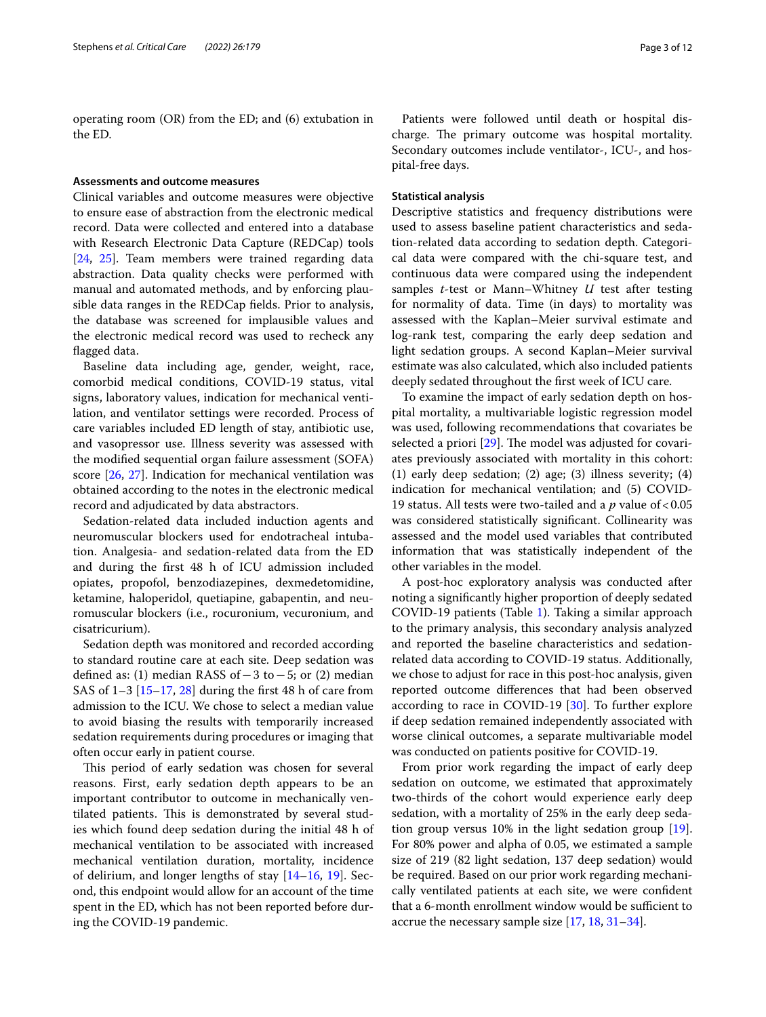operating room (OR) from the ED; and (6) extubation in the ED.

## **Assessments and outcome measures**

Clinical variables and outcome measures were objective to ensure ease of abstraction from the electronic medical record. Data were collected and entered into a database with Research Electronic Data Capture (REDCap) tools [[24,](#page-11-5) [25](#page-11-6)]. Team members were trained regarding data abstraction. Data quality checks were performed with manual and automated methods, and by enforcing plausible data ranges in the REDCap felds. Prior to analysis, the database was screened for implausible values and the electronic medical record was used to recheck any fagged data.

Baseline data including age, gender, weight, race, comorbid medical conditions, COVID-19 status, vital signs, laboratory values, indication for mechanical ventilation, and ventilator settings were recorded. Process of care variables included ED length of stay, antibiotic use, and vasopressor use. Illness severity was assessed with the modifed sequential organ failure assessment (SOFA) score [[26](#page-11-7), [27\]](#page-11-8). Indication for mechanical ventilation was obtained according to the notes in the electronic medical record and adjudicated by data abstractors.

Sedation-related data included induction agents and neuromuscular blockers used for endotracheal intubation. Analgesia- and sedation-related data from the ED and during the frst 48 h of ICU admission included opiates, propofol, benzodiazepines, dexmedetomidine, ketamine, haloperidol, quetiapine, gabapentin, and neuromuscular blockers (i.e., rocuronium, vecuronium, and cisatricurium).

Sedation depth was monitored and recorded according to standard routine care at each site. Deep sedation was defned as: (1) median RASS of−3 to−5; or (2) median SAS of  $1-3$  [[15–](#page-10-6)[17](#page-10-7), [28](#page-11-9)] during the first 48 h of care from admission to the ICU. We chose to select a median value to avoid biasing the results with temporarily increased sedation requirements during procedures or imaging that often occur early in patient course.

This period of early sedation was chosen for several reasons. First, early sedation depth appears to be an important contributor to outcome in mechanically ventilated patients. This is demonstrated by several studies which found deep sedation during the initial 48 h of mechanical ventilation to be associated with increased mechanical ventilation duration, mortality, incidence of delirium, and longer lengths of stay [\[14](#page-10-8)–[16,](#page-10-9) [19](#page-11-0)]. Second, this endpoint would allow for an account of the time spent in the ED, which has not been reported before during the COVID-19 pandemic.

Patients were followed until death or hospital discharge. The primary outcome was hospital mortality. Secondary outcomes include ventilator-, ICU-, and hospital-free days.

## **Statistical analysis**

Descriptive statistics and frequency distributions were used to assess baseline patient characteristics and sedation-related data according to sedation depth. Categorical data were compared with the chi-square test, and continuous data were compared using the independent samples *t*-test or Mann–Whitney *U* test after testing for normality of data. Time (in days) to mortality was assessed with the Kaplan–Meier survival estimate and log-rank test, comparing the early deep sedation and light sedation groups. A second Kaplan–Meier survival estimate was also calculated, which also included patients deeply sedated throughout the frst week of ICU care.

To examine the impact of early sedation depth on hospital mortality, a multivariable logistic regression model was used, following recommendations that covariates be selected a priori  $[29]$  $[29]$ . The model was adjusted for covariates previously associated with mortality in this cohort: (1) early deep sedation; (2) age; (3) illness severity; (4) indication for mechanical ventilation; and (5) COVID-19 status. All tests were two-tailed and a *p* value of<0.05 was considered statistically signifcant. Collinearity was assessed and the model used variables that contributed information that was statistically independent of the other variables in the model.

A post-hoc exploratory analysis was conducted after noting a signifcantly higher proportion of deeply sedated COVID-19 patients (Table [1](#page-3-0)). Taking a similar approach to the primary analysis, this secondary analysis analyzed and reported the baseline characteristics and sedationrelated data according to COVID-19 status. Additionally, we chose to adjust for race in this post-hoc analysis, given reported outcome diferences that had been observed according to race in COVID-19 [\[30](#page-11-11)]. To further explore if deep sedation remained independently associated with worse clinical outcomes, a separate multivariable model was conducted on patients positive for COVID-19.

From prior work regarding the impact of early deep sedation on outcome, we estimated that approximately two-thirds of the cohort would experience early deep sedation, with a mortality of 25% in the early deep sedation group versus 10% in the light sedation group [\[19](#page-11-0)]. For 80% power and alpha of 0.05, we estimated a sample size of 219 (82 light sedation, 137 deep sedation) would be required. Based on our prior work regarding mechanically ventilated patients at each site, we were confdent that a 6-month enrollment window would be sufficient to accrue the necessary sample size [\[17,](#page-10-7) [18](#page-10-10), [31–](#page-11-12)[34](#page-11-13)].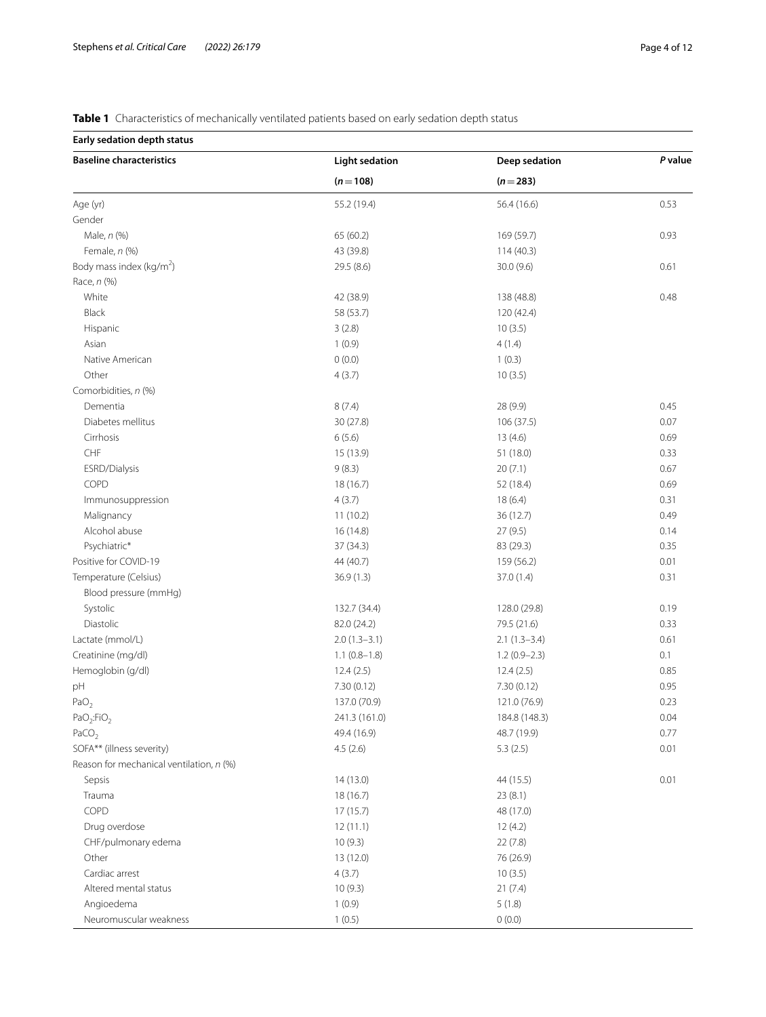<span id="page-3-0"></span>**Table 1** Characteristics of mechanically ventilated patients based on early sedation depth status

## **Early sedation depth status**

| <b>Baseline characteristics</b>          | <b>Light sedation</b> | Deep sedation  | P value |
|------------------------------------------|-----------------------|----------------|---------|
|                                          | $(n=108)$             | $(n=283)$      |         |
| Age (yr)                                 | 55.2 (19.4)           | 56.4 (16.6)    | 0.53    |
| Gender                                   |                       |                |         |
| Male, n (%)                              | 65 (60.2)             | 169 (59.7)     | 0.93    |
| Female, n (%)                            | 43 (39.8)             | 114(40.3)      |         |
| Body mass index (kg/m <sup>2</sup> )     | 29.5 (8.6)            | 30.0 (9.6)     | 0.61    |
| Race, n (%)                              |                       |                |         |
| White                                    | 42 (38.9)             | 138 (48.8)     | 0.48    |
| Black                                    | 58 (53.7)             | 120 (42.4)     |         |
| Hispanic                                 | 3(2.8)                | 10(3.5)        |         |
| Asian                                    | 1(0.9)                | 4(1.4)         |         |
| Native American                          | 0(0.0)                | 1(0.3)         |         |
| Other                                    | 4(3.7)                | 10(3.5)        |         |
| Comorbidities, n (%)                     |                       |                |         |
| Dementia                                 | 8(7.4)                | 28 (9.9)       | 0.45    |
| Diabetes mellitus                        | 30 (27.8)             | 106 (37.5)     | 0.07    |
| Cirrhosis                                | 6(5.6)                | 13(4.6)        | 0.69    |
| $\ensuremath{\mathsf{CHF}}$              | 15 (13.9)             | 51 (18.0)      | 0.33    |
| ESRD/Dialysis                            | 9(8.3)                | 20(7.1)        | 0.67    |
| COPD                                     | 18 (16.7)             | 52 (18.4)      | 0.69    |
| Immunosuppression                        | 4(3.7)                | 18(6.4)        | 0.31    |
| Malignancy                               | 11(10.2)              | 36 (12.7)      | 0.49    |
| Alcohol abuse                            | 16 (14.8)             | 27 (9.5)       | 0.14    |
| Psychiatric*                             | 37 (34.3)             | 83 (29.3)      | 0.35    |
| Positive for COVID-19                    | 44 (40.7)             | 159 (56.2)     | 0.01    |
| Temperature (Celsius)                    | 36.9(1.3)             | 37.0 (1.4)     | 0.31    |
| Blood pressure (mmHg)                    |                       |                |         |
| Systolic                                 | 132.7 (34.4)          | 128.0 (29.8)   | 0.19    |
| Diastolic                                | 82.0 (24.2)           | 79.5 (21.6)    | 0.33    |
| Lactate (mmol/L)                         | $2.0(1.3-3.1)$        | $2.1(1.3-3.4)$ | 0.61    |
| Creatinine (mg/dl)                       | $1.1(0.8-1.8)$        | $1.2(0.9-2.3)$ | 0.1     |
| Hemoglobin (g/dl)                        | 12.4(2.5)             | 12.4(2.5)      | 0.85    |
| pH                                       | 7.30(0.12)            | 7.30 (0.12)    | 0.95    |
| PaO <sub>2</sub>                         | 137.0 (70.9)          | 121.0 (76.9)   | 0.23    |
| PaO <sub>2</sub> :FiO <sub>2</sub>       | 241.3 (161.0)         | 184.8 (148.3)  | 0.04    |
| PaCO <sub>2</sub>                        | 49.4 (16.9)           | 48.7 (19.9)    | 0.77    |
| SOFA** (illness severity)                | 4.5(2.6)              | 5.3(2.5)       | 0.01    |
| Reason for mechanical ventilation, n (%) |                       |                |         |
| Sepsis                                   | 14(13.0)              | 44 (15.5)      | 0.01    |
| Trauma                                   | 18 (16.7)             | 23(8.1)        |         |
| COPD                                     | 17(15.7)              | 48 (17.0)      |         |
| Drug overdose                            | 12(11.1)              | 12(4.2)        |         |
| CHF/pulmonary edema                      | 10(9.3)               | 22(7.8)        |         |
| Other                                    | 13 (12.0)             | 76 (26.9)      |         |
| Cardiac arrest                           | 4(3.7)                | 10(3.5)        |         |
| Altered mental status                    | 10(9.3)               | 21(7.4)        |         |
| Angioedema                               | 1(0.9)                | 5(1.8)         |         |
|                                          |                       |                |         |
| Neuromuscular weakness                   | 1(0.5)                | 0(0.0)         |         |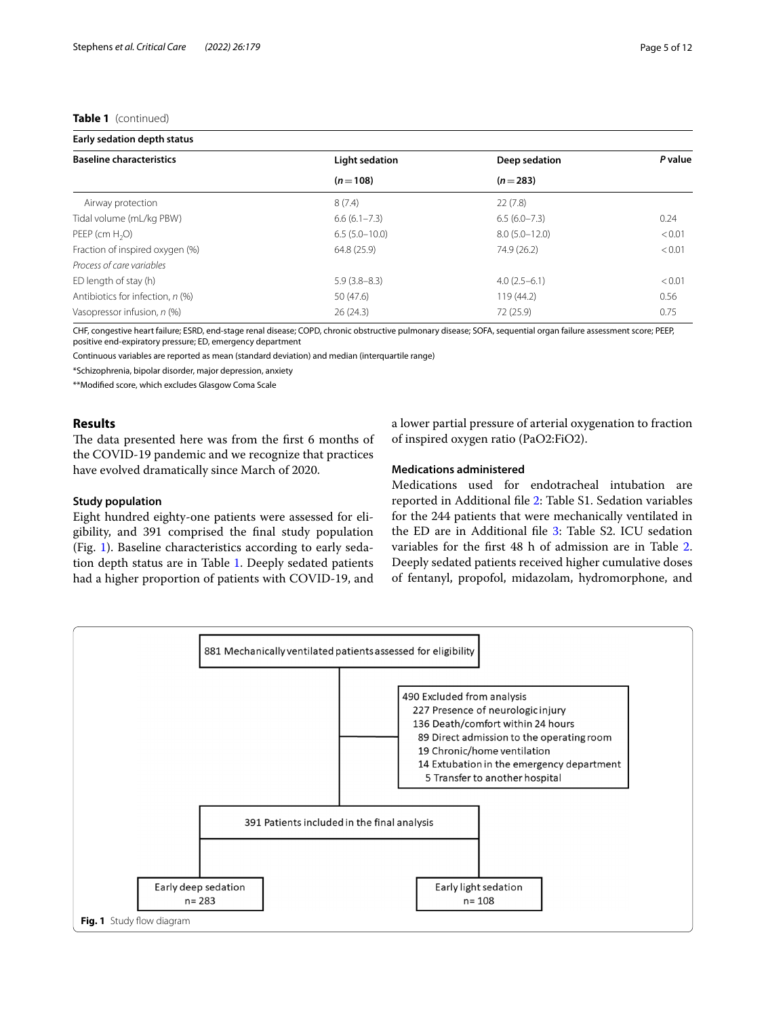## **Table 1** (continued)

| Early sedation depth status      |                  |                   |         |  |  |
|----------------------------------|------------------|-------------------|---------|--|--|
| <b>Baseline characteristics</b>  | Light sedation   | Deep sedation     | P value |  |  |
|                                  | $(n=108)$        | $(n=283)$         |         |  |  |
| Airway protection                | 8(7.4)           | 22(7.8)           |         |  |  |
| Tidal volume (mL/kg PBW)         | $6.6(6.1 - 7.3)$ | $6.5(6.0 - 7.3)$  | 0.24    |  |  |
| PEEP (cm H <sub>2</sub> O)       | $6.5(5.0-10.0)$  | $8.0(5.0 - 12.0)$ | < 0.01  |  |  |
| Fraction of inspired oxygen (%)  | 64.8 (25.9)      | 74.9 (26.2)       | < 0.01  |  |  |
| Process of care variables        |                  |                   |         |  |  |
| ED length of stay (h)            | $5.9(3.8-8.3)$   | $4.0(2.5-6.1)$    | < 0.01  |  |  |
| Antibiotics for infection, n (%) | 50 (47.6)        | 119 (44.2)        | 0.56    |  |  |
| Vasopressor infusion, n (%)      | 26(24.3)         | 72 (25.9)         | 0.75    |  |  |

CHF, congestive heart failure; ESRD, end-stage renal disease; COPD, chronic obstructive pulmonary disease; SOFA, sequential organ failure assessment score; PEEP, positive end-expiratory pressure; ED, emergency department

Continuous variables are reported as mean (standard deviation) and median (interquartile range)

\*Schizophrenia, bipolar disorder, major depression, anxiety

\*\*Modifed score, which excludes Glasgow Coma Scale

## **Results**

The data presented here was from the first 6 months of the COVID-19 pandemic and we recognize that practices have evolved dramatically since March of 2020.

## **Study population**

Eight hundred eighty-one patients were assessed for eligibility, and 391 comprised the fnal study population (Fig. [1\)](#page-4-0). Baseline characteristics according to early sedation depth status are in Table [1.](#page-3-0) Deeply sedated patients had a higher proportion of patients with COVID-19, and a lower partial pressure of arterial oxygenation to fraction of inspired oxygen ratio (PaO2:FiO2).

## **Medications administered**

Medications used for endotracheal intubation are reported in Additional fle [2:](#page-9-1) Table S1. Sedation variables for the 244 patients that were mechanically ventilated in the ED are in Additional file [3:](#page-9-2) Table S2. ICU sedation variables for the frst 48 h of admission are in Table [2](#page-5-0). Deeply sedated patients received higher cumulative doses of fentanyl, propofol, midazolam, hydromorphone, and

<span id="page-4-0"></span>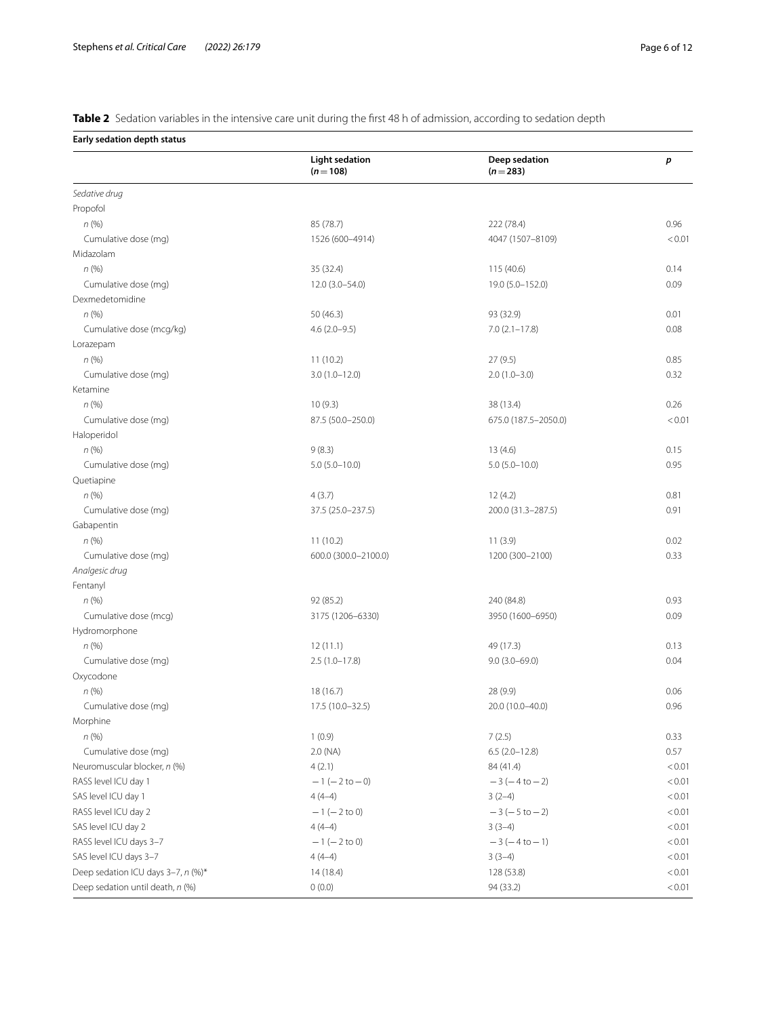<span id="page-5-0"></span>**Table 2** Sedation variables in the intensive care unit during the first 48 h of admission, according to sedation depth

**Early sedation depth status**

|                                            | <b>Light sedation</b><br>$(n=108)$ | Deep sedation<br>$(n=283)$ | р      |
|--------------------------------------------|------------------------------------|----------------------------|--------|
| Sedative drug                              |                                    |                            |        |
| Propofol                                   |                                    |                            |        |
| n(%)                                       | 85 (78.7)                          | 222 (78.4)                 | 0.96   |
| Cumulative dose (mg)                       | 1526 (600-4914)                    | 4047 (1507-8109)           | < 0.01 |
| Midazolam                                  |                                    |                            |        |
| n(%)                                       | 35 (32.4)                          | 115 (40.6)                 | 0.14   |
| Cumulative dose (mg)                       | $12.0(3.0-54.0)$                   | 19.0 (5.0-152.0)           | 0.09   |
| Dexmedetomidine                            |                                    |                            |        |
| n(%)                                       | 50 (46.3)                          | 93 (32.9)                  | 0.01   |
| Cumulative dose (mcg/kg)                   | $4.6(2.0-9.5)$                     | $7.0(2.1 - 17.8)$          | 0.08   |
| Lorazepam                                  |                                    |                            |        |
| n(%)                                       | 11(10.2)                           | 27(9.5)                    | 0.85   |
| Cumulative dose (mg)                       | $3.0(1.0-12.0)$                    | $2.0(1.0-3.0)$             | 0.32   |
| Ketamine                                   |                                    |                            |        |
| n(%)                                       | 10(9.3)                            | 38 (13.4)                  | 0.26   |
| Cumulative dose (mg)                       | 87.5 (50.0-250.0)                  | 675.0 (187.5-2050.0)       | < 0.01 |
| Haloperidol                                |                                    |                            |        |
| n(%)                                       | 9(8.3)                             | 13(4.6)                    | 0.15   |
| Cumulative dose (mg)                       | $5.0(5.0-10.0)$                    | $5.0(5.0-10.0)$            | 0.95   |
| Quetiapine                                 |                                    |                            |        |
| n(%)                                       | 4(3.7)                             | 12(4.2)                    | 0.81   |
| Cumulative dose (mg)                       | 37.5 (25.0-237.5)                  | 200.0 (31.3-287.5)         | 0.91   |
| Gabapentin                                 |                                    |                            |        |
| n(%)                                       | 11(10.2)                           | 11(3.9)                    | 0.02   |
| Cumulative dose (mg)                       | 600.0 (300.0-2100.0)               | 1200 (300-2100)            | 0.33   |
| Analgesic drug                             |                                    |                            |        |
| Fentanyl                                   |                                    |                            |        |
| n(%)                                       | 92 (85.2)                          | 240 (84.8)                 | 0.93   |
| Cumulative dose (mcg)                      | 3175 (1206-6330)                   | 3950 (1600-6950)           | 0.09   |
| Hydromorphone                              |                                    |                            |        |
| n(%)                                       | 12(11.1)                           | 49 (17.3)                  | 0.13   |
| Cumulative dose (mg)                       | $2.5(1.0-17.8)$                    | $9.0(3.0 - 69.0)$          | 0.04   |
| Oxycodone                                  |                                    |                            |        |
| n(%)                                       | 18(16.7)                           | 28 (9.9)                   | 0.06   |
| Cumulative dose (mg)                       | 17.5 (10.0-32.5)                   | 20.0 (10.0-40.0)           | 0.96   |
| Morphine                                   |                                    |                            |        |
| n(% )                                      | 1(0.9)                             | 7(2.5)                     | 0.33   |
| Cumulative dose (mg)                       | 2.0 (NA)                           | $6.5(2.0-12.8)$            | 0.57   |
| Neuromuscular blocker, n (%)               | 4(2.1)                             | 84 (41.4)                  | < 0.01 |
| RASS level ICU day 1                       | $-1$ (-2 to -0)                    | $-3(-4 to -2)$             | < 0.01 |
| SAS level ICU day 1                        | $4(4-4)$                           | $3(2-4)$                   | < 0.01 |
| RASS level ICU day 2                       | $-1$ ( $-2$ to 0)                  | $-3(-5t0-2)$               | < 0.01 |
| SAS level ICU day 2                        | $4(4-4)$                           | $3(3-4)$                   | < 0.01 |
| RASS level ICU days 3-7                    | $-1$ ( $-2$ to 0)                  | $-3(-4 to -1)$             | < 0.01 |
| SAS level ICU days 3-7                     | $4(4-4)$                           | $3(3-4)$                   | < 0.01 |
| Deep sedation ICU days 3-7, n (%)*         | 14 (18.4)                          | 128 (53.8)                 | < 0.01 |
| Deep sedation until death, n (%)<br>0(0.0) |                                    | 94 (33.2)                  | < 0.01 |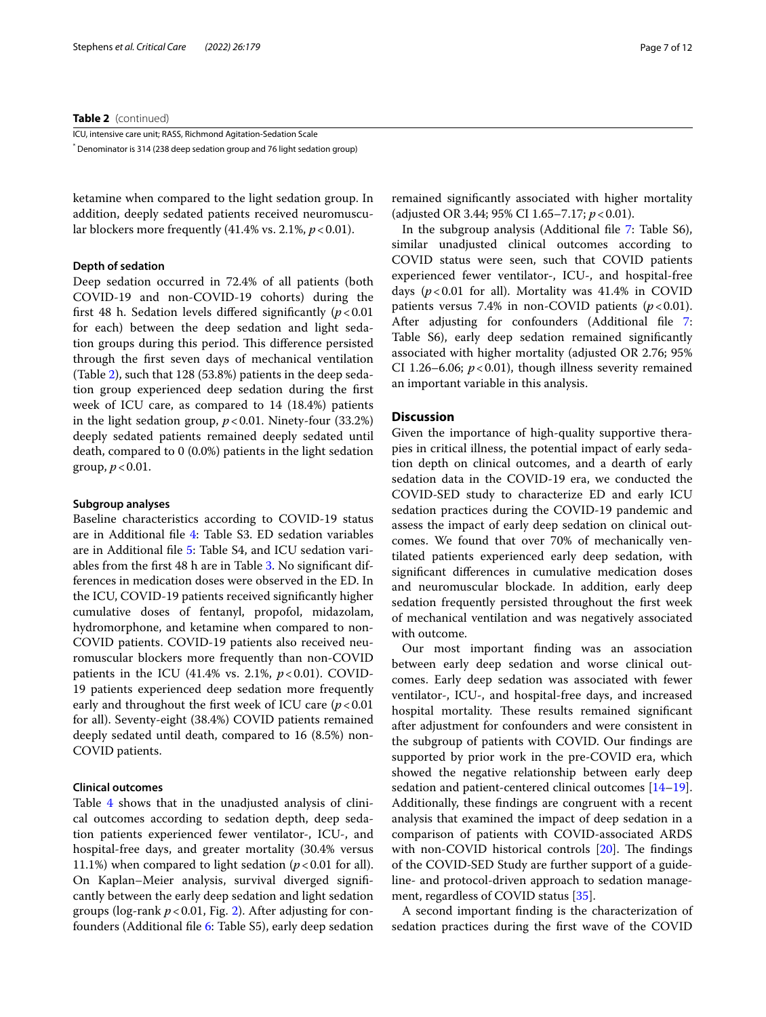### **Table 2** (continued)

ICU, intensive care unit; RASS, Richmond Agitation-Sedation Scale \* Denominator is 314 (238 deep sedation group and 76 light sedation group)

ketamine when compared to the light sedation group. In addition, deeply sedated patients received neuromuscular blockers more frequently  $(41.4\% \text{ vs. } 2.1\%, p < 0.01)$ .

## **Depth of sedation**

Deep sedation occurred in 72.4% of all patients (both COVID-19 and non-COVID-19 cohorts) during the frst 48 h. Sedation levels difered signifcantly (*p*<0.01 for each) between the deep sedation and light sedation groups during this period. This difference persisted through the frst seven days of mechanical ventilation (Table [2](#page-5-0)), such that 128 (53.8%) patients in the deep sedation group experienced deep sedation during the frst week of ICU care, as compared to 14 (18.4%) patients in the light sedation group,  $p < 0.01$ . Ninety-four (33.2%) deeply sedated patients remained deeply sedated until death, compared to 0 (0.0%) patients in the light sedation group,  $p < 0.01$ .

#### **Subgroup analyses**

Baseline characteristics according to COVID-19 status are in Additional fle [4:](#page-9-3) Table S3. ED sedation variables are in Additional fle [5:](#page-9-4) Table S4, and ICU sedation variables from the frst 48 h are in Table [3.](#page-7-0) No signifcant differences in medication doses were observed in the ED. In the ICU, COVID-19 patients received signifcantly higher cumulative doses of fentanyl, propofol, midazolam, hydromorphone, and ketamine when compared to non-COVID patients. COVID-19 patients also received neuromuscular blockers more frequently than non-COVID patients in the ICU (41.4% vs. 2.1%,  $p < 0.01$ ). COVID-19 patients experienced deep sedation more frequently early and throughout the first week of ICU care  $(p < 0.01)$ for all). Seventy-eight (38.4%) COVID patients remained deeply sedated until death, compared to 16 (8.5%) non-COVID patients.

## **Clinical outcomes**

Table [4](#page-8-0) shows that in the unadjusted analysis of clinical outcomes according to sedation depth, deep sedation patients experienced fewer ventilator-, ICU-, and hospital-free days, and greater mortality (30.4% versus 11.1%) when compared to light sedation  $(p<0.01$  for all). On Kaplan–Meier analysis, survival diverged signifcantly between the early deep sedation and light sedation groups (log-rank *p*<0.01, Fig. [2](#page-8-1)). After adjusting for confounders (Additional fle [6](#page-9-5): Table S5), early deep sedation remained signifcantly associated with higher mortality (adjusted OR 3.44; 95% CI 1.65–7.17; *p*<0.01).

In the subgroup analysis (Additional fle [7](#page-9-6): Table S6), similar unadjusted clinical outcomes according to COVID status were seen, such that COVID patients experienced fewer ventilator-, ICU-, and hospital-free days  $(p<0.01$  for all). Mortality was  $41.4\%$  in COVID patients versus 7.4% in non-COVID patients  $(p < 0.01)$ . After adjusting for confounders (Additional file [7](#page-9-5): Table S6), early deep sedation remained signifcantly associated with higher mortality (adjusted OR 2.76; 95% CI 1.26–6.06;  $p < 0.01$ ), though illness severity remained an important variable in this analysis.

## **Discussion**

Given the importance of high-quality supportive therapies in critical illness, the potential impact of early sedation depth on clinical outcomes, and a dearth of early sedation data in the COVID-19 era, we conducted the COVID-SED study to characterize ED and early ICU sedation practices during the COVID-19 pandemic and assess the impact of early deep sedation on clinical outcomes. We found that over 70% of mechanically ventilated patients experienced early deep sedation, with signifcant diferences in cumulative medication doses and neuromuscular blockade. In addition, early deep sedation frequently persisted throughout the frst week of mechanical ventilation and was negatively associated with outcome.

Our most important fnding was an association between early deep sedation and worse clinical outcomes. Early deep sedation was associated with fewer ventilator-, ICU-, and hospital-free days, and increased hospital mortality. These results remained significant after adjustment for confounders and were consistent in the subgroup of patients with COVID. Our fndings are supported by prior work in the pre-COVID era, which showed the negative relationship between early deep sedation and patient-centered clinical outcomes [[14](#page-10-8)[–19](#page-11-0)]. Additionally, these fndings are congruent with a recent analysis that examined the impact of deep sedation in a comparison of patients with COVID-associated ARDS with non-COVID historical controls  $[20]$  $[20]$  $[20]$ . The findings of the COVID-SED Study are further support of a guideline- and protocol-driven approach to sedation management, regardless of COVID status [\[35\]](#page-11-14).

A second important fnding is the characterization of sedation practices during the frst wave of the COVID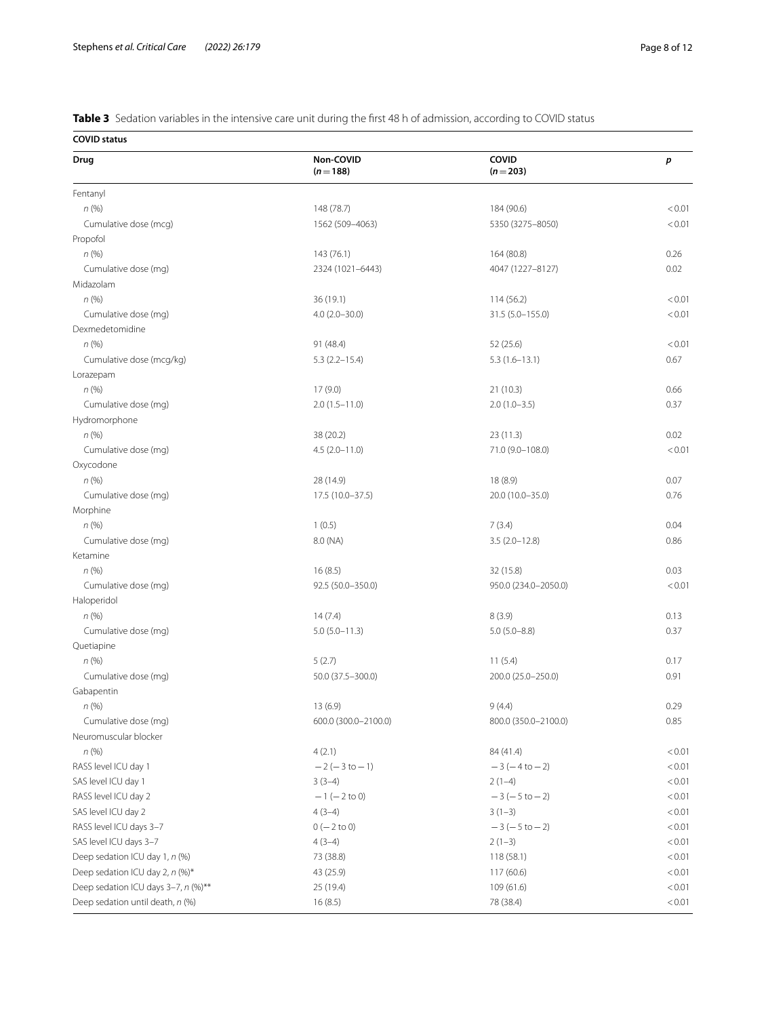<span id="page-7-0"></span>**Table 3** Sedation variables in the intensive care unit during the frst 48 h of admission, according to COVID status

**COVID status**

| Drug                                | Non-COVID                                 | COVID                         | $\boldsymbol{p}$ |
|-------------------------------------|-------------------------------------------|-------------------------------|------------------|
|                                     | $(n=188)$                                 | $(n=203)$                     |                  |
| Fentanyl                            |                                           |                               |                  |
| n(%)                                | 148 (78.7)                                | 184 (90.6)                    | < 0.01           |
| Cumulative dose (mcg)               | 1562 (509-4063)                           | 5350 (3275-8050)              | < 0.01           |
| Propofol                            |                                           |                               |                  |
| n(%)                                | 143 (76.1)                                | 164 (80.8)                    | 0.26             |
| Cumulative dose (mg)                | 2324 (1021-6443)                          | 4047 (1227-8127)              | 0.02             |
| Midazolam                           |                                           |                               |                  |
| n(%)                                | 36 (19.1)                                 | 114 (56.2)                    | < 0.01           |
| Cumulative dose (mg)                | $4.0(2.0-30.0)$                           | 31.5 (5.0-155.0)              | < 0.01           |
| Dexmedetomidine                     |                                           |                               |                  |
| n(%)                                | 91 (48.4)                                 | 52 (25.6)                     | < 0.01           |
| Cumulative dose (mcg/kg)            | $5.3(2.2 - 15.4)$                         | $5.3(1.6-13.1)$               | 0.67             |
| Lorazepam                           |                                           |                               |                  |
| n(%)                                | 17(9.0)                                   | 21(10.3)                      | 0.66             |
| Cumulative dose (mg)                | $2.0(1.5-11.0)$                           | $2.0(1.0-3.5)$                | 0.37             |
| Hydromorphone                       |                                           |                               |                  |
| n(%)                                | 38 (20.2)                                 | 23 (11.3)                     | 0.02             |
| Cumulative dose (mg)                | $4.5(2.0 - 11.0)$                         | 71.0 (9.0-108.0)              | < 0.01           |
| Oxycodone                           |                                           |                               |                  |
| n(%)                                | 28 (14.9)                                 | 18 (8.9)                      | 0.07             |
| Cumulative dose (mg)                | 17.5 (10.0-37.5)                          | 20.0 (10.0-35.0)              | 0.76             |
| Morphine                            |                                           |                               |                  |
| n(%)                                | 1(0.5)                                    | 7(3.4)                        | 0.04             |
| Cumulative dose (mg)                | 8.0 (NA)                                  | $3.5(2.0-12.8)$               | 0.86             |
| Ketamine                            |                                           |                               |                  |
| n(%)                                | 16(8.5)                                   | 32 (15.8)                     | 0.03             |
| Cumulative dose (mg)                | 92.5 (50.0-350.0)                         | 950.0 (234.0-2050.0)          | < 0.01           |
| Haloperidol                         |                                           |                               |                  |
| n(%)                                | 14(7.4)                                   | 8(3.9)                        | 0.13             |
| Cumulative dose (mg)                | $5.0(5.0 - 11.3)$                         | $5.0(5.0 - 8.8)$              | 0.37             |
| Quetiapine                          |                                           |                               |                  |
| n(%)                                | 5(2.7)                                    |                               | 0.17             |
| Cumulative dose (mg)                | 50.0 (37.5-300.0)                         | 11(5.4)<br>200.0 (25.0-250.0) | 0.91             |
| Gabapentin                          |                                           |                               |                  |
| n(%)                                | 13 (6.9)                                  | 9(4.4)                        | 0.29             |
|                                     |                                           |                               |                  |
| Cumulative dose (mg)                | 600.0 (300.0-2100.0)                      | 800.0 (350.0-2100.0)          | 0.85             |
| Neuromuscular blocker               |                                           |                               |                  |
| n(%)                                | 4(2.1)                                    | 84 (41.4)                     | < 0.01           |
| RASS level ICU day 1                | $-2(-3 to -1)$                            | $-3(-4 to -2)$                | < 0.01           |
| SAS level ICU day 1                 | $3(3-4)$                                  | $2(1-4)$<br>$-3(-5 to -2)$    | < 0.01           |
|                                     | RASS level ICU day 2<br>$-1$ ( $-2$ to 0) |                               | < 0.01           |
| SAS level ICU day 2                 | $4(3-4)$                                  | $3(1-3)$                      | < 0.01           |
| RASS level ICU days 3-7             | $0 (- 2 to 0)$                            | $-3(-5 to -2)$                | < 0.01           |
| SAS level ICU days 3-7              | $4(3-4)$                                  | $2(1-3)$                      | < 0.01           |
| Deep sedation ICU day 1, n (%)      | 73 (38.8)                                 | 118(58.1)                     | < 0.01           |
| Deep sedation ICU day 2, n (%)*     | 43 (25.9)                                 | 117 (60.6)                    | < 0.01           |
| Deep sedation ICU days 3-7, n (%)** | 25 (19.4)                                 | 109 (61.6)                    | < 0.01           |
| Deep sedation until death, n (%)    | 16(8.5)                                   | 78 (38.4)                     | < 0.01           |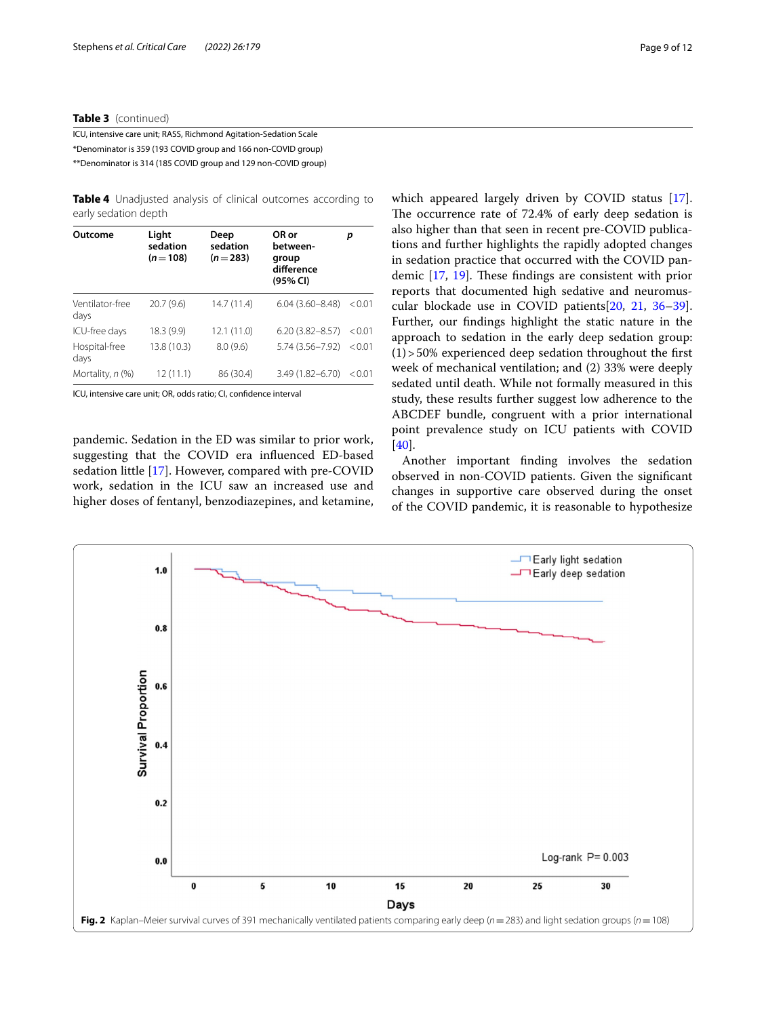## **Table 3** (continued)

ICU, intensive care unit; RASS, Richmond Agitation-Sedation Scale \*Denominator is 359 (193 COVID group and 166 non-COVID group) \*\*Denominator is 314 (185 COVID group and 129 non-COVID group)

<span id="page-8-0"></span>

| <b>Table 4</b> Unadjusted analysis of clinical outcomes according to |  |  |  |
|----------------------------------------------------------------------|--|--|--|
| early sedation depth                                                 |  |  |  |

| Outcome                 | Light<br>sedation<br>$(n=108)$ | Deep<br>sedation<br>$(n=283)$ | OR or<br>between-<br>group<br>difference<br>(95% CI) | р      |
|-------------------------|--------------------------------|-------------------------------|------------------------------------------------------|--------|
| Ventilator-free<br>days | 20.7(9.6)                      | 14.7(11.4)                    | $6.04(3.60 - 8.48)$                                  | < 0.01 |
| ICU-free days           | 18.3 (9.9)                     | 12.1(11.0)                    | $6.20(3.82 - 8.57)$                                  | < 0.01 |
| Hospital-free<br>days   | 13.8 (10.3)                    | 8.0(9.6)                      | 5.74 (3.56-7.92)                                     | < 0.01 |
| Mortality, n (%)        | 12(11.1)                       | 86 (30.4)                     | 3.49 (1.82-6.70)                                     | < 0.01 |

ICU, intensive care unit; OR, odds ratio; CI, confdence interval

pandemic. Sedation in the ED was similar to prior work, suggesting that the COVID era infuenced ED-based sedation little [\[17](#page-10-7)]. However, compared with pre-COVID work, sedation in the ICU saw an increased use and higher doses of fentanyl, benzodiazepines, and ketamine, which appeared largely driven by COVID status [\[17](#page-10-7)]. The occurrence rate of 72.4% of early deep sedation is also higher than that seen in recent pre-COVID publications and further highlights the rapidly adopted changes in sedation practice that occurred with the COVID pandemic  $[17, 19]$  $[17, 19]$  $[17, 19]$  $[17, 19]$  $[17, 19]$ . These findings are consistent with prior reports that documented high sedative and neuromuscular blockade use in COVID patients[\[20](#page-11-1), [21,](#page-11-2) [36](#page-11-15)[–39](#page-11-16)]. Further, our fndings highlight the static nature in the approach to sedation in the early deep sedation group:  $(1)$  > 50% experienced deep sedation throughout the first week of mechanical ventilation; and (2) 33% were deeply sedated until death. While not formally measured in this study, these results further suggest low adherence to the ABCDEF bundle, congruent with a prior international point prevalence study on ICU patients with COVID [[40\]](#page-11-17).

Another important fnding involves the sedation observed in non-COVID patients. Given the signifcant changes in supportive care observed during the onset of the COVID pandemic, it is reasonable to hypothesize

<span id="page-8-1"></span>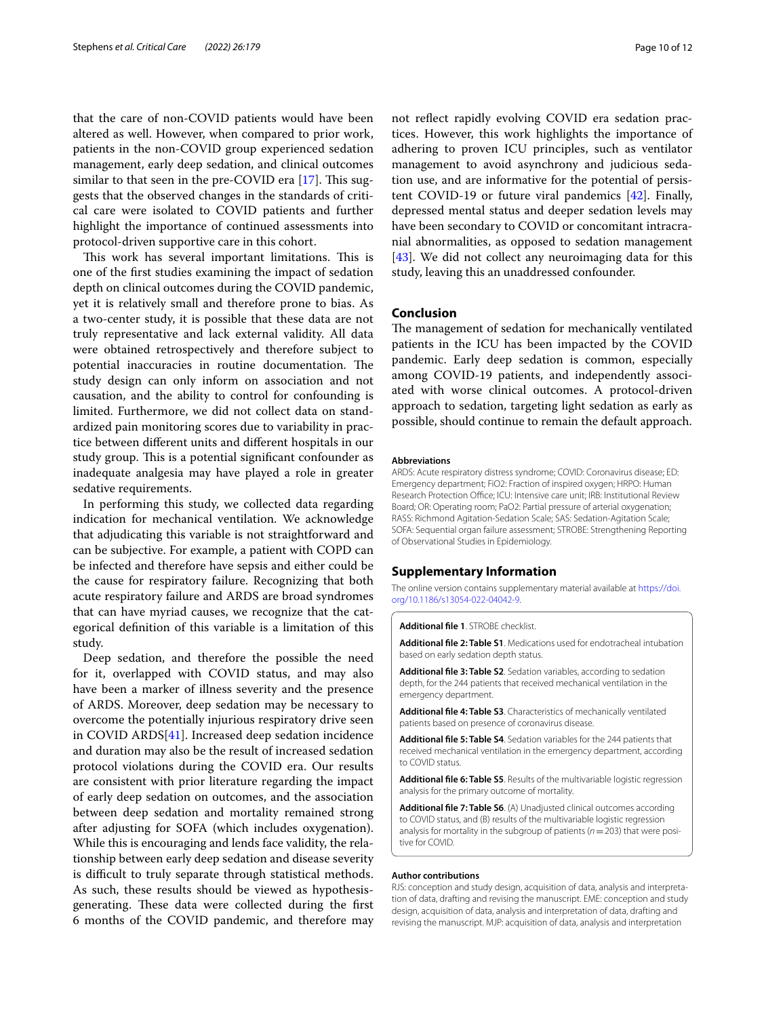that the care of non-COVID patients would have been altered as well. However, when compared to prior work, patients in the non-COVID group experienced sedation management, early deep sedation, and clinical outcomes similar to that seen in the pre-COVID era [\[17\]](#page-10-7). This suggests that the observed changes in the standards of critical care were isolated to COVID patients and further highlight the importance of continued assessments into protocol-driven supportive care in this cohort.

This work has several important limitations. This is one of the frst studies examining the impact of sedation depth on clinical outcomes during the COVID pandemic, yet it is relatively small and therefore prone to bias. As a two-center study, it is possible that these data are not truly representative and lack external validity. All data were obtained retrospectively and therefore subject to potential inaccuracies in routine documentation. The study design can only inform on association and not causation, and the ability to control for confounding is limited. Furthermore, we did not collect data on standardized pain monitoring scores due to variability in practice between diferent units and diferent hospitals in our study group. This is a potential significant confounder as inadequate analgesia may have played a role in greater sedative requirements.

In performing this study, we collected data regarding indication for mechanical ventilation. We acknowledge that adjudicating this variable is not straightforward and can be subjective. For example, a patient with COPD can be infected and therefore have sepsis and either could be the cause for respiratory failure. Recognizing that both acute respiratory failure and ARDS are broad syndromes that can have myriad causes, we recognize that the categorical defnition of this variable is a limitation of this study.

Deep sedation, and therefore the possible the need for it, overlapped with COVID status, and may also have been a marker of illness severity and the presence of ARDS. Moreover, deep sedation may be necessary to overcome the potentially injurious respiratory drive seen in COVID ARDS[[41\]](#page-11-18). Increased deep sedation incidence and duration may also be the result of increased sedation protocol violations during the COVID era. Our results are consistent with prior literature regarding the impact of early deep sedation on outcomes, and the association between deep sedation and mortality remained strong after adjusting for SOFA (which includes oxygenation). While this is encouraging and lends face validity, the relationship between early deep sedation and disease severity is difficult to truly separate through statistical methods. As such, these results should be viewed as hypothesisgenerating. These data were collected during the first 6 months of the COVID pandemic, and therefore may

not refect rapidly evolving COVID era sedation practices. However, this work highlights the importance of adhering to proven ICU principles, such as ventilator management to avoid asynchrony and judicious sedation use, and are informative for the potential of persistent COVID-19 or future viral pandemics [\[42](#page-11-19)]. Finally, depressed mental status and deeper sedation levels may have been secondary to COVID or concomitant intracranial abnormalities, as opposed to sedation management [[43\]](#page-11-20). We did not collect any neuroimaging data for this study, leaving this an unaddressed confounder.

## **Conclusion**

The management of sedation for mechanically ventilated patients in the ICU has been impacted by the COVID pandemic. Early deep sedation is common, especially among COVID-19 patients, and independently associated with worse clinical outcomes. A protocol-driven approach to sedation, targeting light sedation as early as possible, should continue to remain the default approach.

#### **Abbreviations**

ARDS: Acute respiratory distress syndrome; COVID: Coronavirus disease; ED: Emergency department; FiO2: Fraction of inspired oxygen; HRPO: Human Research Protection Office; ICU: Intensive care unit; IRB: Institutional Review Board; OR: Operating room; PaO2: Partial pressure of arterial oxygenation; RASS: Richmond Agitation-Sedation Scale; SAS: Sedation-Agitation Scale; SOFA: Sequential organ failure assessment; STROBE: Strengthening Reporting of Observational Studies in Epidemiology.

### **Supplementary Information**

The online version contains supplementary material available at [https://doi.](https://doi.org/10.1186/s13054-022-04042-9) [org/10.1186/s13054-022-04042-9](https://doi.org/10.1186/s13054-022-04042-9).

#### <span id="page-9-1"></span><span id="page-9-0"></span>**Additional fle 1**. STROBE checklist.

<span id="page-9-2"></span>**Additional fle 2: Table S1**. Medications used for endotracheal intubation based on early sedation depth status.

**Additional fle 3: Table S2**. Sedation variables, according to sedation depth, for the 244 patients that received mechanical ventilation in the emergency department.

<span id="page-9-4"></span><span id="page-9-3"></span>**Additional fle 4: Table S3**. Characteristics of mechanically ventilated patients based on presence of coronavirus disease.

**Additional fle 5: Table S4**. Sedation variables for the 244 patients that received mechanical ventilation in the emergency department, according to COVID status

<span id="page-9-6"></span><span id="page-9-5"></span>**Additional fle 6: Table S5**. Results of the multivariable logistic regression analysis for the primary outcome of mortality.

**Additional fle 7: Table S6**. (A) Unadjusted clinical outcomes according to COVID status, and (B) results of the multivariable logistic regression analysis for mortality in the subgroup of patients (*n*=203) that were positive for COVID.

#### **Author contributions**

RJS: conception and study design, acquisition of data, analysis and interpretation of data, drafting and revising the manuscript. EME: conception and study design, acquisition of data, analysis and interpretation of data, drafting and revising the manuscript. MJP: acquisition of data, analysis and interpretation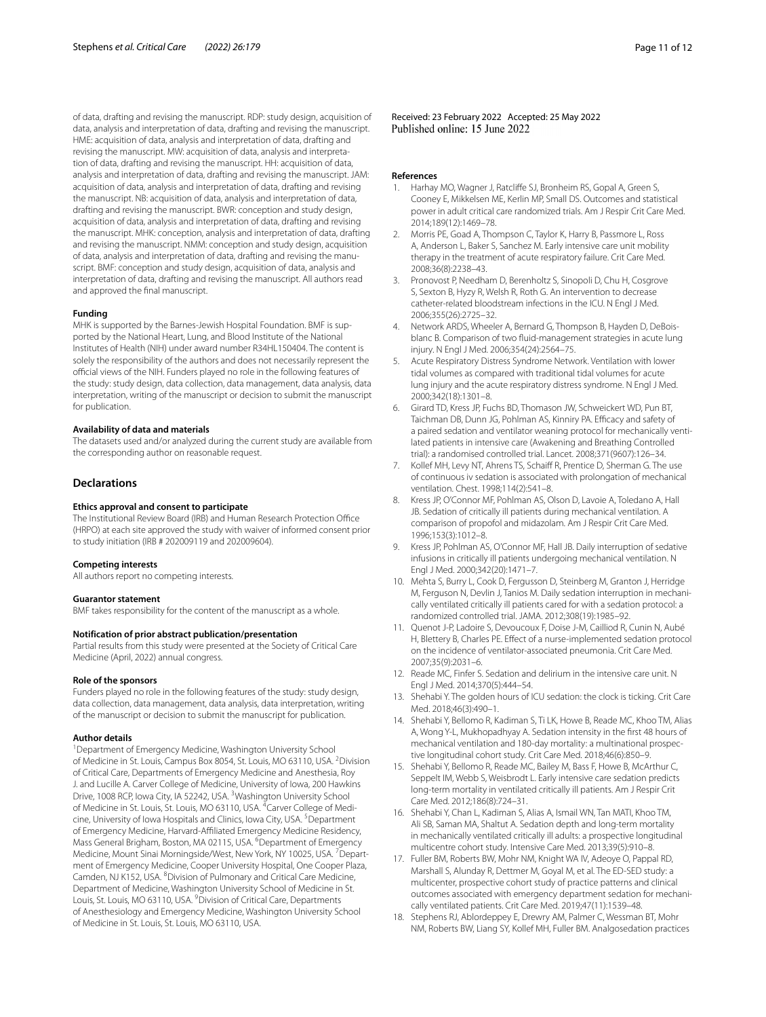of data, drafting and revising the manuscript. RDP: study design, acquisition of data, analysis and interpretation of data, drafting and revising the manuscript. HME: acquisition of data, analysis and interpretation of data, drafting and revising the manuscript. MW: acquisition of data, analysis and interpretation of data, drafting and revising the manuscript. HH: acquisition of data, analysis and interpretation of data, drafting and revising the manuscript. JAM: acquisition of data, analysis and interpretation of data, drafting and revising the manuscript. NB: acquisition of data, analysis and interpretation of data, drafting and revising the manuscript. BWR: conception and study design, acquisition of data, analysis and interpretation of data, drafting and revising the manuscript. MHK: conception, analysis and interpretation of data, drafting and revising the manuscript. NMM: conception and study design, acquisition of data, analysis and interpretation of data, drafting and revising the manuscript. BMF: conception and study design, acquisition of data, analysis and interpretation of data, drafting and revising the manuscript. All authors read and approved the fnal manuscript.

#### **Funding**

MHK is supported by the Barnes-Jewish Hospital Foundation. BMF is supported by the National Heart, Lung, and Blood Institute of the National Institutes of Health (NIH) under award number R34HL150404. The content is solely the responsibility of the authors and does not necessarily represent the official views of the NIH. Funders played no role in the following features of the study: study design, data collection, data management, data analysis, data interpretation, writing of the manuscript or decision to submit the manuscript for publication.

#### **Availability of data and materials**

The datasets used and/or analyzed during the current study are available from the corresponding author on reasonable request.

#### **Declarations**

#### **Ethics approval and consent to participate**

The Institutional Review Board (IRB) and Human Research Protection Office (HRPO) at each site approved the study with waiver of informed consent prior to study initiation (IRB # 202009119 and 202009604).

#### **Competing interests**

All authors report no competing interests.

#### **Guarantor statement**

BMF takes responsibility for the content of the manuscript as a whole.

#### **Notification of prior abstract publication/presentation**

Partial results from this study were presented at the Society of Critical Care Medicine (April, 2022) annual congress.

#### **Role of the sponsors**

Funders played no role in the following features of the study: study design, data collection, data management, data analysis, data interpretation, writing of the manuscript or decision to submit the manuscript for publication.

#### **Author details**

<sup>1</sup> Department of Emergency Medicine, Washington University School of Medicine in St. Louis, Campus Box 8054, St. Louis, MO 63110, USA. <sup>2</sup>Division of Critical Care, Departments of Emergency Medicine and Anesthesia, Roy J. and Lucille A. Carver College of Medicine, University of Iowa, 200 Hawkins Drive, 1008 RCP, Iowa City, IA 52242, USA. <sup>3</sup> Washington University School of Medicine in St. Louis, St. Louis, MO 63110, USA. <sup>4</sup>Carver College of Medicine, University of Iowa Hospitals and Clinics, Iowa City, USA.<sup>5</sup> Department of Emergency Medicine, Harvard-Afliated Emergency Medicine Residency, Mass General Brigham, Boston, MA 02115, USA. <sup>6</sup>Department of Emergency Medicine, Mount Sinai Morningside/West, New York, NY 10025, USA. <sup>7</sup> Department of Emergency Medicine, Cooper University Hospital, One Cooper Plaza, Camden, NJ K152, USA. <sup>8</sup> Division of Pulmonary and Critical Care Medicine, Department of Medicine, Washington University School of Medicine in St. Louis, St. Louis, MO 63110, USA. <sup>9</sup> Division of Critical Care, Departments of Anesthesiology and Emergency Medicine, Washington University School of Medicine in St. Louis, St. Louis, MO 63110, USA.

Received: 23 February 2022 Accepted: 25 May 2022

#### **References**

- <span id="page-10-0"></span>Harhay MO, Wagner J, Ratcliffe SJ, Bronheim RS, Gopal A, Green S, Cooney E, Mikkelsen ME, Kerlin MP, Small DS. Outcomes and statistical power in adult critical care randomized trials. Am J Respir Crit Care Med. 2014;189(12):1469–78.
- <span id="page-10-1"></span>2. Morris PE, Goad A, Thompson C, Taylor K, Harry B, Passmore L, Ross A, Anderson L, Baker S, Sanchez M. Early intensive care unit mobility therapy in the treatment of acute respiratory failure. Crit Care Med. 2008;36(8):2238–43.
- 3. Pronovost P, Needham D, Berenholtz S, Sinopoli D, Chu H, Cosgrove S, Sexton B, Hyzy R, Welsh R, Roth G. An intervention to decrease catheter-related bloodstream infections in the ICU. N Engl J Med. 2006;355(26):2725–32.
- 4. Network ARDS, Wheeler A, Bernard G, Thompson B, Hayden D, DeBoisblanc B. Comparison of two fuid-management strategies in acute lung injury. N Engl J Med. 2006;354(24):2564–75.
- <span id="page-10-2"></span>5. Acute Respiratory Distress Syndrome Network. Ventilation with lower tidal volumes as compared with traditional tidal volumes for acute lung injury and the acute respiratory distress syndrome. N Engl J Med. 2000;342(18):1301–8.
- <span id="page-10-3"></span>6. Girard TD, Kress JP, Fuchs BD, Thomason JW, Schweickert WD, Pun BT, Taichman DB, Dunn JG, Pohlman AS, Kinniry PA. Efficacy and safety of a paired sedation and ventilator weaning protocol for mechanically ventilated patients in intensive care (Awakening and Breathing Controlled trial): a randomised controlled trial. Lancet. 2008;371(9607):126–34.
- 7. Kollef MH, Levy NT, Ahrens TS, Schaif R, Prentice D, Sherman G. The use of continuous iv sedation is associated with prolongation of mechanical ventilation. Chest. 1998;114(2):541–8.
- 8. Kress JP, O'Connor MF, Pohlman AS, Olson D, Lavoie A, Toledano A, Hall JB. Sedation of critically ill patients during mechanical ventilation. A comparison of propofol and midazolam. Am J Respir Crit Care Med. 1996;153(3):1012–8.
- 9. Kress JP, Pohlman AS, O'Connor MF, Hall JB. Daily interruption of sedative infusions in critically ill patients undergoing mechanical ventilation. N Engl J Med. 2000;342(20):1471–7.
- 10. Mehta S, Burry L, Cook D, Fergusson D, Steinberg M, Granton J, Herridge M, Ferguson N, Devlin J, Tanios M. Daily sedation interruption in mechanically ventilated critically ill patients cared for with a sedation protocol: a randomized controlled trial. JAMA. 2012;308(19):1985–92.
- 11. Quenot J-P, Ladoire S, Devoucoux F, Doise J-M, Cailliod R, Cunin N, Aubé H, Blettery B, Charles PE. Efect of a nurse-implemented sedation protocol on the incidence of ventilator-associated pneumonia. Crit Care Med. 2007;35(9):2031–6.
- <span id="page-10-4"></span>12. Reade MC, Finfer S. Sedation and delirium in the intensive care unit. N Engl J Med. 2014;370(5):444–54.
- <span id="page-10-5"></span>13. Shehabi Y. The golden hours of ICU sedation: the clock is ticking. Crit Care Med. 2018;46(3):490–1.
- <span id="page-10-8"></span>14. Shehabi Y, Bellomo R, Kadiman S, Ti LK, Howe B, Reade MC, Khoo TM, Alias A, Wong Y-L, Mukhopadhyay A. Sedation intensity in the frst 48 hours of mechanical ventilation and 180-day mortality: a multinational prospective longitudinal cohort study. Crit Care Med. 2018;46(6):850–9.
- <span id="page-10-6"></span>15. Shehabi Y, Bellomo R, Reade MC, Bailey M, Bass F, Howe B, McArthur C, Seppelt IM, Webb S, Weisbrodt L. Early intensive care sedation predicts long-term mortality in ventilated critically ill patients. Am J Respir Crit Care Med. 2012;186(8):724–31.
- <span id="page-10-9"></span>16. Shehabi Y, Chan L, Kadiman S, Alias A, Ismail WN, Tan MATI, Khoo TM, Ali SB, Saman MA, Shaltut A. Sedation depth and long-term mortality in mechanically ventilated critically ill adults: a prospective longitudinal multicentre cohort study. Intensive Care Med. 2013;39(5):910–8.
- <span id="page-10-7"></span>17. Fuller BM, Roberts BW, Mohr NM, Knight WA IV, Adeoye O, Pappal RD, Marshall S, Alunday R, Dettmer M, Goyal M, et al. The ED-SED study: a multicenter, prospective cohort study of practice patterns and clinical outcomes associated with emergency department sedation for mechanically ventilated patients. Crit Care Med. 2019;47(11):1539–48.
- <span id="page-10-10"></span>18. Stephens RJ, Ablordeppey E, Drewry AM, Palmer C, Wessman BT, Mohr NM, Roberts BW, Liang SY, Kollef MH, Fuller BM. Analgosedation practices